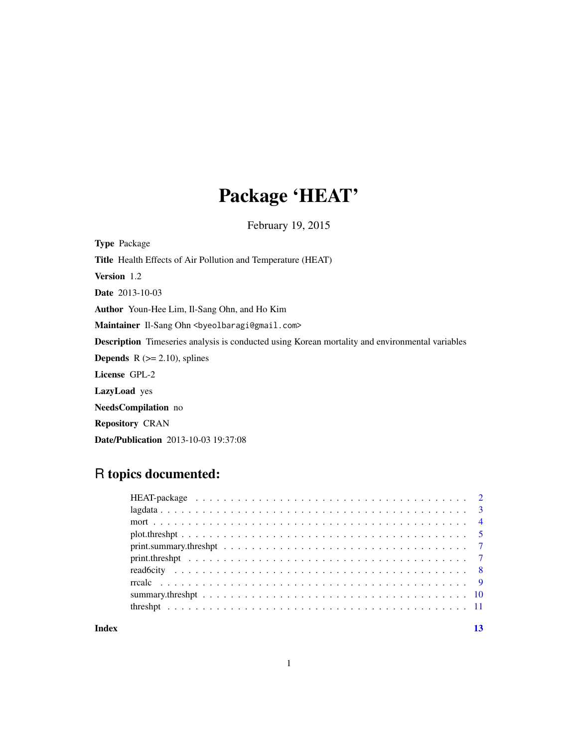# Package 'HEAT'

February 19, 2015

Type Package Title Health Effects of Air Pollution and Temperature (HEAT) Version 1.2 Date 2013-10-03 Author Youn-Hee Lim, Il-Sang Ohn, and Ho Kim Maintainer Il-Sang Ohn <br/>byeolbaragi@gmail.com> Description Timeseries analysis is conducted using Korean mortality and environmental variables **Depends** R  $(>= 2.10)$ , splines License GPL-2 LazyLoad yes NeedsCompilation no Repository CRAN Date/Publication 2013-10-03 19:37:08

# R topics documented:

| Index |  |
|-------|--|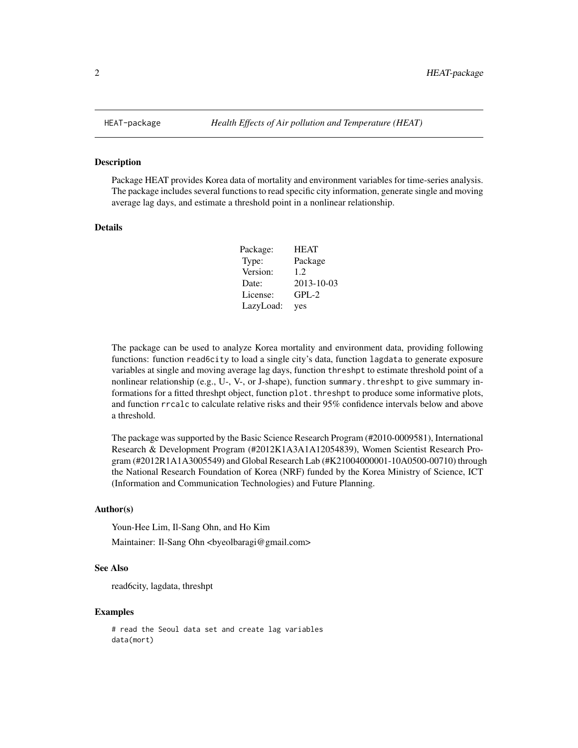Package HEAT provides Korea data of mortality and environment variables for time-series analysis. The package includes several functions to read specific city information, generate single and moving average lag days, and estimate a threshold point in a nonlinear relationship.

# Details

| Package:  | <b>HEAT</b> |
|-----------|-------------|
| Type:     | Package     |
| Version:  | 1.2.        |
| Date:     | 2013-10-03  |
| License:  | $GPL-2$     |
| LazyLoad: | yes         |

The package can be used to analyze Korea mortality and environment data, providing following functions: function read6city to load a single city's data, function lagdata to generate exposure variables at single and moving average lag days, function threshpt to estimate threshold point of a nonlinear relationship (e.g., U-, V-, or J-shape), function summary.threshpt to give summary informations for a fitted threshpt object, function plot. threshpt to produce some informative plots, and function rrcalc to calculate relative risks and their 95% confidence intervals below and above a threshold.

The package was supported by the Basic Science Research Program (#2010-0009581), International Research & Development Program (#2012K1A3A1A12054839), Women Scientist Research Program (#2012R1A1A3005549) and Global Research Lab (#K21004000001-10A0500-00710) through the National Research Foundation of Korea (NRF) funded by the Korea Ministry of Science, ICT (Information and Communication Technologies) and Future Planning.

# Author(s)

Youn-Hee Lim, Il-Sang Ohn, and Ho Kim

Maintainer: Il-Sang Ohn <br/> <br/>byeolbaragi@gmail.com>

#### See Also

read6city, lagdata, threshpt

#### Examples

# read the Seoul data set and create lag variables data(mort)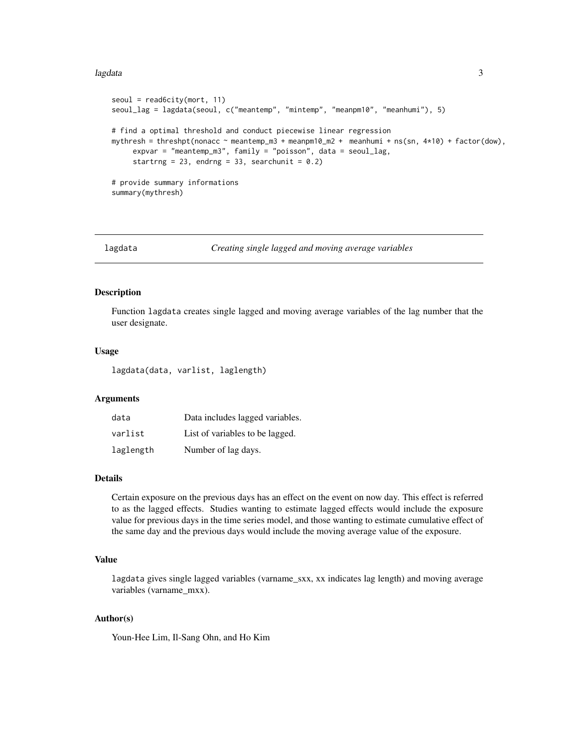#### <span id="page-2-0"></span>lagdata 3 and 3 and 3 and 3 and 3 and 3 and 3 and 3 and 3 and 3 and 3 and 3 and 3 and 3 and 3 and 3 and 3 and 3 and 3 and 3 and 3 and 3 and 3 and 3 and 3 and 3 and 3 and 3 and 3 and 3 and 3 and 3 and 3 and 3 and 3 and 3 an

```
seoul = read6city(mort, 11)seoul_lag = lagdata(seoul, c("meantemp", "mintemp", "meanpm10", "meanhumi"), 5)
# find a optimal threshold and conduct piecewise linear regression
mythresh = threshpt(nonacc ~ meantemp_m3 + meanpm10_m2 + meanhumi + ns(sn, 4*10) + factor(dow),
     expvar = "meantemp_m3", family = "poisson", data = seoul_lag,
     startrng = 23, endrng = 33, searchunit = 0.2)
# provide summary informations
summary(mythresh)
```
lagdata *Creating single lagged and moving average variables*

# Description

Function lagdata creates single lagged and moving average variables of the lag number that the user designate.

#### Usage

lagdata(data, varlist, laglength)

### Arguments

| data      | Data includes lagged variables. |
|-----------|---------------------------------|
| varlist   | List of variables to be lagged. |
| laglength | Number of lag days.             |

#### Details

Certain exposure on the previous days has an effect on the event on now day. This effect is referred to as the lagged effects. Studies wanting to estimate lagged effects would include the exposure value for previous days in the time series model, and those wanting to estimate cumulative effect of the same day and the previous days would include the moving average value of the exposure.

# Value

lagdata gives single lagged variables (varname\_sxx, xx indicates lag length) and moving average variables (varname\_mxx).

# Author(s)

Youn-Hee Lim, Il-Sang Ohn, and Ho Kim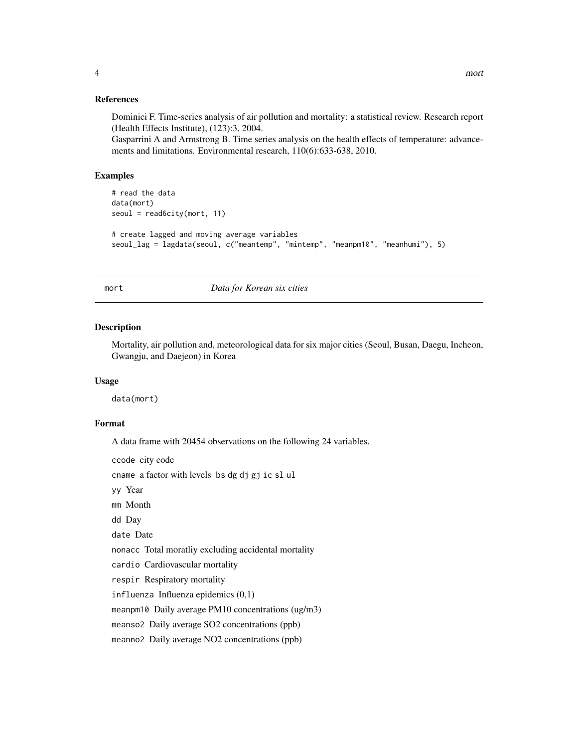#### <span id="page-3-0"></span>References

Dominici F. Time-series analysis of air pollution and mortality: a statistical review. Research report (Health Effects Institute), (123):3, 2004.

Gasparrini A and Armstrong B. Time series analysis on the health effects of temperature: advancements and limitations. Environmental research, 110(6):633-638, 2010.

# Examples

```
# read the data
data(mort)
seoul = read6city(mort, 11)
# create lagged and moving average variables
seoul_lag = lagdata(seoul, c("meantemp", "mintemp", "meanpm10", "meanhumi"), 5)
```
#### mort *Data for Korean six cities*

# Description

Mortality, air pollution and, meteorological data for six major cities (Seoul, Busan, Daegu, Incheon, Gwangju, and Daejeon) in Korea

#### Usage

data(mort)

# Format

A data frame with 20454 observations on the following 24 variables.

ccode city code cname a factor with levels bs dg dj gj ic sl ul yy Year mm Month dd Day date Date nonacc Total moratliy excluding accidental mortality cardio Cardiovascular mortality respir Respiratory mortality influenza Influenza epidemics (0,1) meanpm10 Daily average PM10 concentrations (ug/m3) meanso2 Daily average SO2 concentrations (ppb) meanno2 Daily average NO2 concentrations (ppb)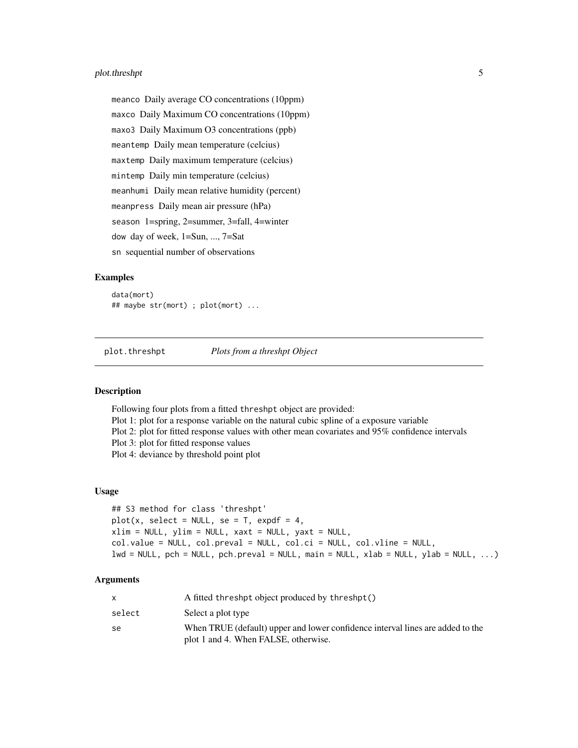# <span id="page-4-0"></span>plot.threshpt 5

meanco Daily average CO concentrations (10ppm) maxco Daily Maximum CO concentrations (10ppm) maxo3 Daily Maximum O3 concentrations (ppb) meantemp Daily mean temperature (celcius) maxtemp Daily maximum temperature (celcius) mintemp Daily min temperature (celcius) meanhumi Daily mean relative humidity (percent) meanpress Daily mean air pressure (hPa) season 1=spring, 2=summer, 3=fall, 4=winter dow day of week, 1=Sun, ..., 7=Sat sn sequential number of observations

#### Examples

data(mort) ## maybe str(mort) ; plot(mort) ...

plot.threshpt *Plots from a threshpt Object*

#### Description

Following four plots from a fitted threshpt object are provided: Plot 1: plot for a response variable on the natural cubic spline of a exposure variable Plot 2: plot for fitted response values with other mean covariates and 95% confidence intervals Plot 3: plot for fitted response values Plot 4: deviance by threshold point plot

# Usage

```
## S3 method for class 'threshpt'
plot(x, select = NULL, se = T, expdf = 4,xlim = NULL, ylim = NULL, xaxt = NULL, yaxt = NULL,col.value = NULL, col.preval = NULL, col.ci = NULL, col.vline = NULL,lwd = NULL, pch = NULL, pch.preval = NULL, main = NULL, xlab = NULL, ylab = NULL, ...)
```
#### Arguments

|        | A fitted threshpt object produced by threshpt()                                |
|--------|--------------------------------------------------------------------------------|
| select | Select a plot type                                                             |
| se     | When TRUE (default) upper and lower confidence interval lines are added to the |
|        | plot 1 and 4. When FALSE, otherwise.                                           |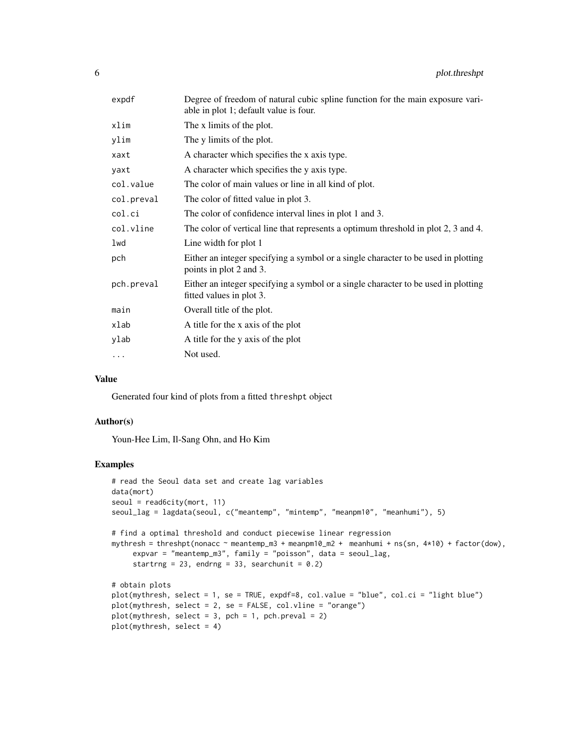| expdf      | Degree of freedom of natural cubic spline function for the main exposure vari-<br>able in plot 1; default value is four. |
|------------|--------------------------------------------------------------------------------------------------------------------------|
| xlim       | The x limits of the plot.                                                                                                |
| ylim       | The y limits of the plot.                                                                                                |
| xaxt       | A character which specifies the x axis type.                                                                             |
| yaxt       | A character which specifies the y axis type.                                                                             |
| col.value  | The color of main values or line in all kind of plot.                                                                    |
| col.preval | The color of fitted value in plot 3.                                                                                     |
| col.ci     | The color of confidence interval lines in plot 1 and 3.                                                                  |
| col.vline  | The color of vertical line that represents a optimum threshold in plot 2, 3 and 4.                                       |
| lwd        | Line width for plot 1                                                                                                    |
| pch        | Either an integer specifying a symbol or a single character to be used in plotting<br>points in plot 2 and 3.            |
| pch.preval | Either an integer specifying a symbol or a single character to be used in plotting<br>fitted values in plot 3.           |
| main       | Overall title of the plot.                                                                                               |
| xlab       | A title for the x axis of the plot                                                                                       |
| ylab       | A title for the y axis of the plot                                                                                       |
| $\cdots$   | Not used.                                                                                                                |
|            |                                                                                                                          |

# Value

Generated four kind of plots from a fitted threshpt object

# Author(s)

Youn-Hee Lim, Il-Sang Ohn, and Ho Kim

```
# read the Seoul data set and create lag variables
data(mort)
seoul = read6city(mort, 11)
seoul_lag = lagdata(seoul, c("meantemp", "mintemp", "meanpm10", "meanhumi"), 5)
# find a optimal threshold and conduct piecewise linear regression
mythresh = threshpt(nonacc ~ meantemp_m3 + meanpm10_m2 + meanhumi + ns(sn, 4*10) + factor(dow),
     expvar = "meantemp_m3", family = "poisson", data = seoul_lag,
     startrng = 23, endrng = 33, searchunit = 0.2)
# obtain plots
plot(mythresh, select = 1, se = TRUE, expdf=8, col.value = "blue", col.ci = "light blue")
plot(mythresh, select = 2, se = FALSE, col.vline = "orange")
plot(mythresh, select = 3, pch = 1, pch.preval = 2)plot(mythresh, select = 4)
```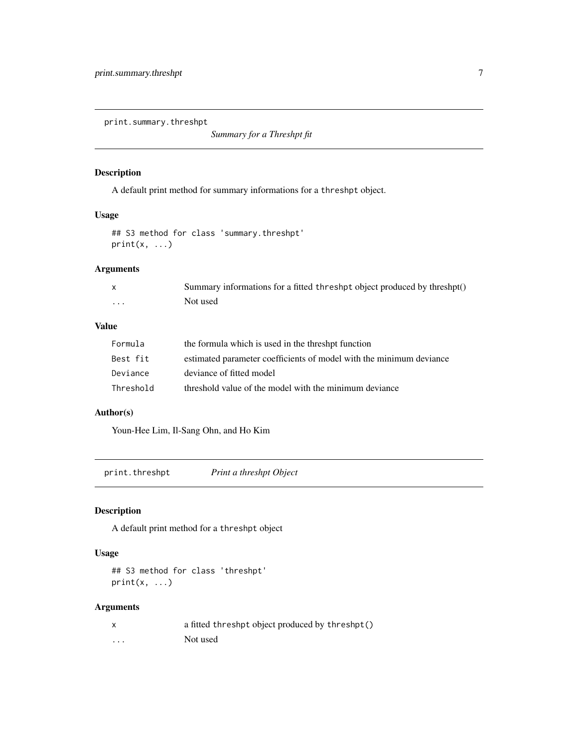<span id="page-6-0"></span>print.summary.threshpt

*Summary for a Threshpt fit*

# Description

A default print method for summary informations for a threshpt object.

# Usage

```
## S3 method for class 'summary.threshpt'
print(x, \ldots)
```
# Arguments

|   | Summary informations for a fitted threshpt object produced by threshpt() |
|---|--------------------------------------------------------------------------|
| . | Not used                                                                 |

# Value

| Formula   | the formula which is used in the threshpt function                  |
|-----------|---------------------------------------------------------------------|
| Best fit  | estimated parameter coefficients of model with the minimum deviance |
| Deviance  | deviance of fitted model                                            |
| Threshold | threshold value of the model with the minimum deviance              |

# Author(s)

Youn-Hee Lim, Il-Sang Ohn, and Ho Kim

print.threshpt *Print a threshpt Object*

# Description

A default print method for a threshpt object

# Usage

## S3 method for class 'threshpt'  $print(x, \ldots)$ 

# Arguments

|          | a fitted threshpt object produced by threshpt() |
|----------|-------------------------------------------------|
| $\cdots$ | Not used                                        |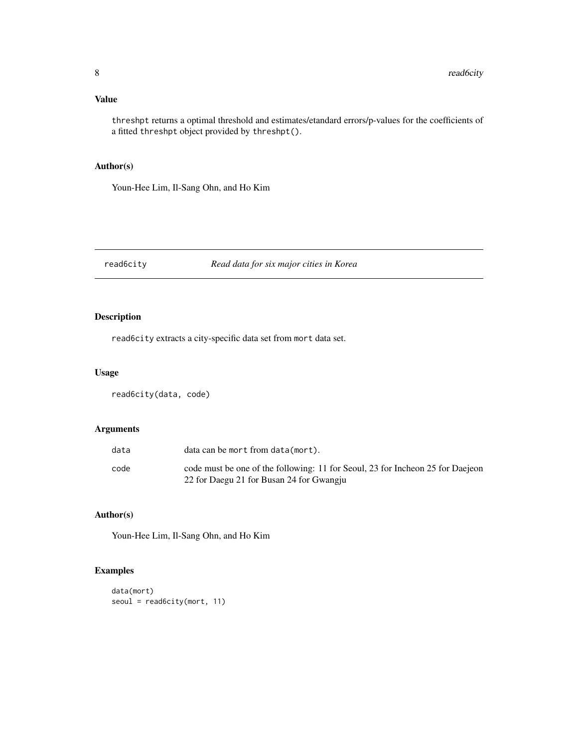# <span id="page-7-0"></span>Value

threshpt returns a optimal threshold and estimates/etandard errors/p-values for the coefficients of a fitted threshpt object provided by threshpt().

# Author(s)

Youn-Hee Lim, Il-Sang Ohn, and Ho Kim

# read6city *Read data for six major cities in Korea*

# Description

read6city extracts a city-specific data set from mort data set.

# Usage

```
read6city(data, code)
```
# Arguments

| data | data can be mort from data(mort).                                                                                          |
|------|----------------------------------------------------------------------------------------------------------------------------|
| code | code must be one of the following: 11 for Seoul, 23 for Incheon 25 for Daejeon<br>22 for Daegu 21 for Busan 24 for Gwangju |

# Author(s)

Youn-Hee Lim, Il-Sang Ohn, and Ho Kim

```
data(mort)
seoul = read6city(mort, 11)
```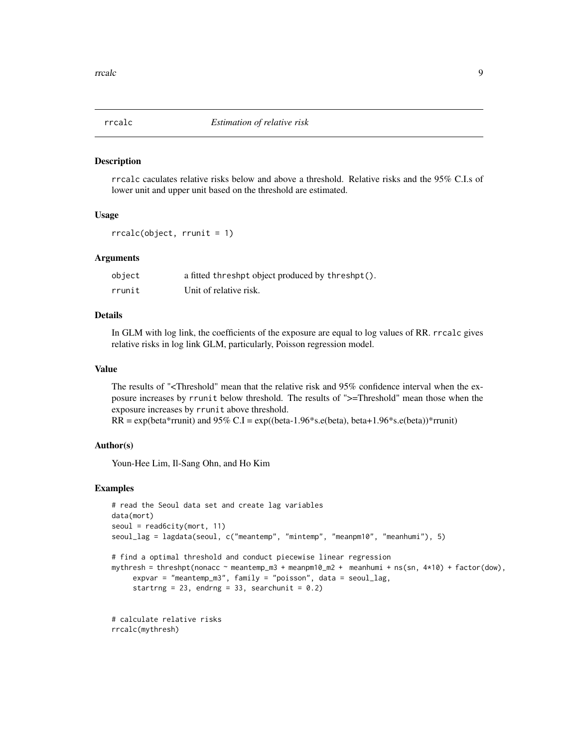<span id="page-8-0"></span>

rrcalc caculates relative risks below and above a threshold. Relative risks and the 95% C.I.s of lower unit and upper unit based on the threshold are estimated.

# Usage

```
rrcalc(object, rrunit = 1)
```
# **Arguments**

| object | a fitted threshpt object produced by threshpt(). |
|--------|--------------------------------------------------|
| rrunit | Unit of relative risk.                           |

# Details

In GLM with log link, the coefficients of the exposure are equal to log values of RR. rrcalc gives relative risks in log link GLM, particularly, Poisson regression model.

# Value

The results of "<Threshold" mean that the relative risk and 95% confidence interval when the exposure increases by rrunit below threshold. The results of ">=Threshold" mean those when the exposure increases by rrunit above threshold.

 $RR = \exp(\beta \text{eta}^* \text{r}$ runit) and 95% C.I =  $\exp((\beta \text{eta}^* \text{u} \cdot \text{eta}^*) \text{h} \cdot \text{eta}^*)$ . beta+1.96\*s.e(beta))\*rrunit)

# Author(s)

Youn-Hee Lim, Il-Sang Ohn, and Ho Kim

```
# read the Seoul data set and create lag variables
data(mort)
seoul = read6city(mort, 11)seoul_lag = lagdata(seoul, c("meantemp", "mintemp", "meanpm10", "meanhumi"), 5)
# find a optimal threshold and conduct piecewise linear regression
mythresh = threshpt(nonacc ~ meantemp_m3 + meanpm10_m2 + meanhumi + ns(sn, 4*10) + factor(dow),
     expvar = "meantemp_m3", family = "poisson", data = seoul_lag,
     startrng = 23, endrng = 33, searchunit = 0.2)
# calculate relative risks
```

```
rrcalc(mythresh)
```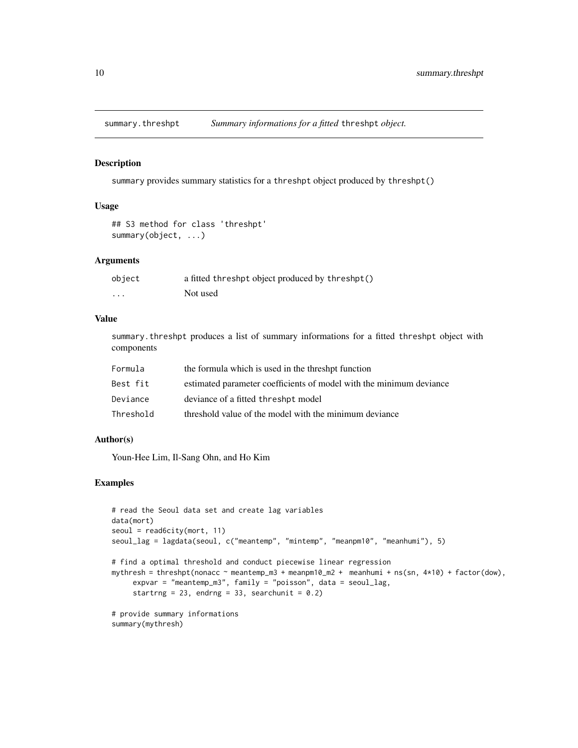<span id="page-9-0"></span>

summary provides summary statistics for a threshpt object produced by threshpt()

# Usage

```
## S3 method for class 'threshpt'
summary(object, ...)
```
#### Arguments

| object | a fitted threshpt object produced by threshpt() |
|--------|-------------------------------------------------|
| .      | Not used                                        |

#### Value

summary.threshpt produces a list of summary informations for a fitted threshpt object with components

| Formula   | the formula which is used in the threshpt function                  |
|-----------|---------------------------------------------------------------------|
| Best fit  | estimated parameter coefficients of model with the minimum deviance |
| Deviance  | deviance of a fitted threshpt model                                 |
| Threshold | threshold value of the model with the minimum deviance              |

# Author(s)

Youn-Hee Lim, Il-Sang Ohn, and Ho Kim

```
# read the Seoul data set and create lag variables
data(mort)
seoul = read6city(mort, 11)seoul_lag = lagdata(seoul, c("meantemp", "mintemp", "meanpm10", "meanhumi"), 5)
# find a optimal threshold and conduct piecewise linear regression
mythresh = threshpt(nonacc ~ meantemp_m3 + meanpm10_m2 + meanhumi + ns(sn, 4*10) + factor(dow),
     expvar = "meantemp_m3", family = "poisson", data = seoul_lag,
     startrng = 23, endrng = 33, searchunit = 0.2)
# provide summary informations
summary(mythresh)
```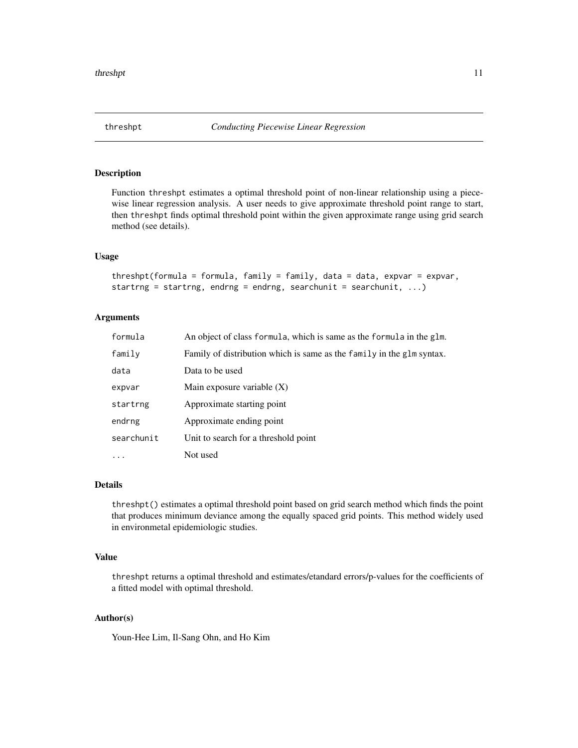<span id="page-10-0"></span>Function threshpt estimates a optimal threshold point of non-linear relationship using a piecewise linear regression analysis. A user needs to give approximate threshold point range to start, then threshpt finds optimal threshold point within the given approximate range using grid search method (see details).

#### Usage

```
threshpt(formula = formula, family = family, data = data, expvar = expvar,
startrng = startrng, endrng = endrng, searchunit = searchunit, \ldots)
```
# Arguments

| formula    | An object of class formula, which is same as the formula in the glm.  |
|------------|-----------------------------------------------------------------------|
| family     | Family of distribution which is same as the family in the glm syntax. |
| data       | Data to be used                                                       |
| expvar     | Main exposure variable $(X)$                                          |
| startrng   | Approximate starting point                                            |
| endrng     | Approximate ending point                                              |
| searchunit | Unit to search for a threshold point                                  |
| $\ddots$   | Not used                                                              |

# Details

threshpt() estimates a optimal threshold point based on grid search method which finds the point that produces minimum deviance among the equally spaced grid points. This method widely used in environmetal epidemiologic studies.

# Value

threshpt returns a optimal threshold and estimates/etandard errors/p-values for the coefficients of a fitted model with optimal threshold.

# Author(s)

Youn-Hee Lim, Il-Sang Ohn, and Ho Kim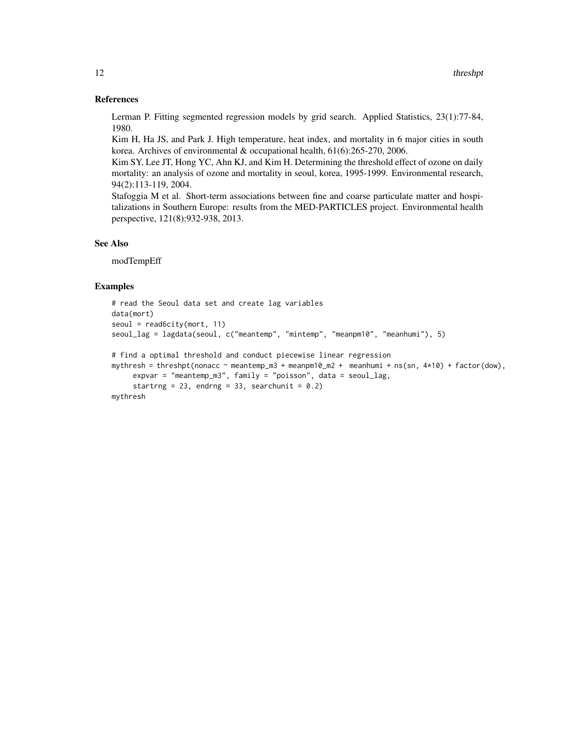#### References

Lerman P. Fitting segmented regression models by grid search. Applied Statistics, 23(1):77-84, 1980.

Kim H, Ha JS, and Park J. High temperature, heat index, and mortality in 6 major cities in south korea. Archives of environmental & occupational health, 61(6):265-270, 2006.

Kim SY, Lee JT, Hong YC, Ahn KJ, and Kim H. Determining the threshold effect of ozone on daily mortality: an analysis of ozone and mortality in seoul, korea, 1995-1999. Environmental research, 94(2):113-119, 2004.

Stafoggia M et al. Short-term associations between fine and coarse particulate matter and hospitalizations in Southern Europe: results from the MED-PARTICLES project. Environmental health perspective, 121(8):932-938, 2013.

# See Also

modTempEff

```
# read the Seoul data set and create lag variables
data(mort)
seoul = read6city(mort, 11)seoul_lag = lagdata(seoul, c("meantemp", "mintemp", "meanpm10", "meanhumi"), 5)
# find a optimal threshold and conduct piecewise linear regression
mythresh = threshpt(nonacc ~ meantemp_m3 + meanpm10_m2 + meanhumi + ns(sn, 4*10) + factor(dow),
     expvar = "meantemp_m3", family = "poisson", data = seoul_lag,
     startrng = 23, endrng = 33, searchunit = 0.2)
mythresh
```